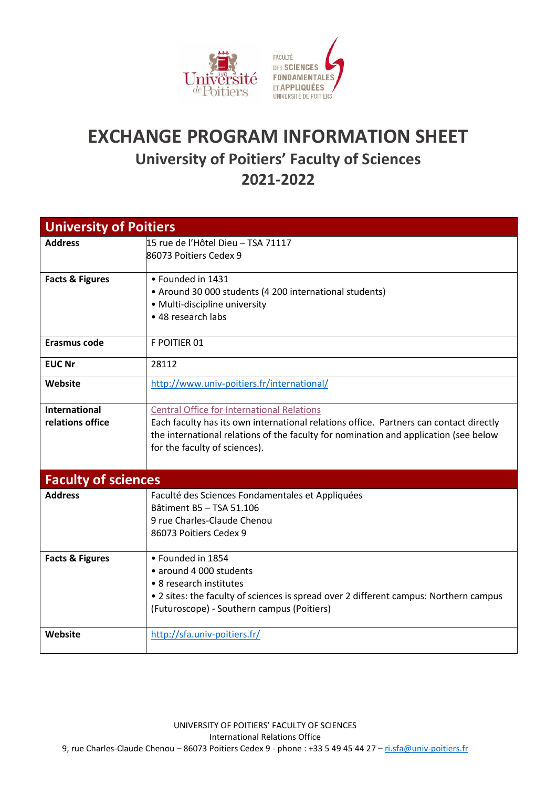

## **EXCHANGE PROGRAM INFORMATION SHEET University of Poitiers' Faculty of Sciences 2021-2022**

| <b>University of Poitiers</b> |                                                                                        |  |
|-------------------------------|----------------------------------------------------------------------------------------|--|
| <b>Address</b>                | 15 rue de l'Hôtel Dieu - TSA 71117                                                     |  |
|                               | 86073 Poitiers Cedex 9                                                                 |  |
|                               |                                                                                        |  |
| <b>Facts &amp; Figures</b>    | • Founded in 1431                                                                      |  |
|                               | • Around 30 000 students (4 200 international students)                                |  |
|                               | • Multi-discipline university                                                          |  |
|                               | • 48 research labs                                                                     |  |
|                               |                                                                                        |  |
| Erasmus code                  | F POITIER 01                                                                           |  |
| <b>EUC Nr</b>                 | 28112                                                                                  |  |
|                               |                                                                                        |  |
| Website                       | http://www.univ-poitiers.fr/international/                                             |  |
|                               |                                                                                        |  |
| <b>International</b>          | <b>Central Office for International Relations</b>                                      |  |
| relations office              | Each faculty has its own international relations office. Partners can contact directly |  |
|                               | the international relations of the faculty for nomination and application (see below   |  |
|                               | for the faculty of sciences).                                                          |  |
|                               |                                                                                        |  |
| <b>Faculty of sciences</b>    |                                                                                        |  |
| <b>Address</b>                | Faculté des Sciences Fondamentales et Appliquées                                       |  |
|                               | Bâtiment B5 - TSA 51.106                                                               |  |
|                               | 9 rue Charles-Claude Chenou                                                            |  |
|                               | 86073 Poitiers Cedex 9                                                                 |  |
|                               |                                                                                        |  |
| <b>Facts &amp; Figures</b>    | · Founded in 1854                                                                      |  |
|                               | · around 4 000 students                                                                |  |
|                               | • 8 research institutes                                                                |  |
|                               | • 2 sites: the faculty of sciences is spread over 2 different campus: Northern campus  |  |
|                               | (Futuroscope) - Southern campus (Poitiers)                                             |  |
|                               |                                                                                        |  |
| Website                       | http://sfa.univ-poitiers.fr/                                                           |  |
|                               |                                                                                        |  |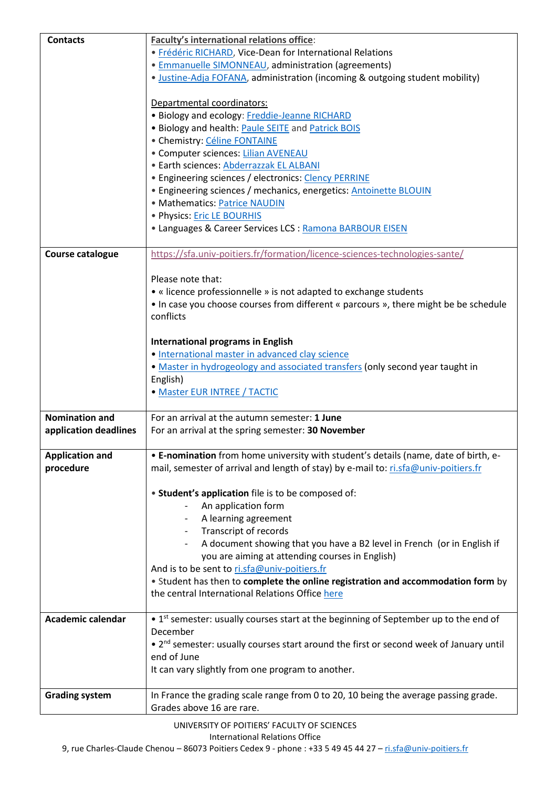| <b>Contacts</b>         | Faculty's international relations office:                                                          |
|-------------------------|----------------------------------------------------------------------------------------------------|
|                         | · Frédéric RICHARD, Vice-Dean for International Relations                                          |
|                         | • Emmanuelle SIMONNEAU, administration (agreements)                                                |
|                         | . Justine-Adja FOFANA, administration (incoming & outgoing student mobility)                       |
|                         |                                                                                                    |
|                         | Departmental coordinators:                                                                         |
|                         | · Biology and ecology: Freddie-Jeanne RICHARD                                                      |
|                         | . Biology and health: Paule SEITE and Patrick BOIS                                                 |
|                         | · Chemistry: Céline FONTAINE                                                                       |
|                         | • Computer sciences: Lilian AVENEAU                                                                |
|                         | · Earth sciences: Abderrazzak EL ALBANI                                                            |
|                         | • Engineering sciences / electronics: Clency PERRINE                                               |
|                         | • Engineering sciences / mechanics, energetics: Antoinette BLOUIN                                  |
|                         | • Mathematics: Patrice NAUDIN                                                                      |
|                         |                                                                                                    |
|                         | • Physics: <b>Eric LE BOURHIS</b>                                                                  |
|                         | • Languages & Career Services LCS : Ramona BARBOUR EISEN                                           |
|                         |                                                                                                    |
| <b>Course catalogue</b> | https://sfa.univ-poitiers.fr/formation/licence-sciences-technologies-sante/                        |
|                         |                                                                                                    |
|                         | Please note that:                                                                                  |
|                         | • « licence professionnelle » is not adapted to exchange students                                  |
|                         | • In case you choose courses from different « parcours », there might be be schedule               |
|                         | conflicts                                                                                          |
|                         |                                                                                                    |
|                         | <b>International programs in English</b>                                                           |
|                         | • International master in advanced clay science                                                    |
|                         | . Master in hydrogeology and associated transfers (only second year taught in                      |
|                         | English)                                                                                           |
|                         | • Master EUR INTREE / TACTIC                                                                       |
|                         |                                                                                                    |
| <b>Nomination and</b>   | For an arrival at the autumn semester: 1 June                                                      |
| application deadlines   | For an arrival at the spring semester: 30 November                                                 |
|                         |                                                                                                    |
| <b>Application and</b>  | . E-nomination from home university with student's details (name, date of birth, e-                |
| procedure               | mail, semester of arrival and length of stay) by e-mail to: ri.sfa@univ-poitiers.fr                |
|                         |                                                                                                    |
|                         | • Student's application file is to be composed of:                                                 |
|                         | An application form                                                                                |
|                         | A learning agreement                                                                               |
|                         | Transcript of records                                                                              |
|                         | A document showing that you have a B2 level in French (or in English if                            |
|                         | you are aiming at attending courses in English)                                                    |
|                         | And is to be sent to ri.sfa@univ-poitiers.fr                                                       |
|                         | . Student has then to complete the online registration and accommodation form by                   |
|                         | the central International Relations Office here                                                    |
|                         |                                                                                                    |
| Academic calendar       | • 1 <sup>st</sup> semester: usually courses start at the beginning of September up to the end of   |
|                         | December                                                                                           |
|                         | • 2 <sup>nd</sup> semester: usually courses start around the first or second week of January until |
|                         | end of June                                                                                        |
|                         | It can vary slightly from one program to another.                                                  |
|                         |                                                                                                    |
| <b>Grading system</b>   | In France the grading scale range from 0 to 20, 10 being the average passing grade.                |
|                         | Grades above 16 are rare.                                                                          |

9, rue Charles-Claude Chenou - 86073 Poitiers Cedex 9 - phone : +33 5 49 45 44 27 - [ri.sfa@univ-poitiers.fr](mailto:ri.sfa@univ-poitiers.fr)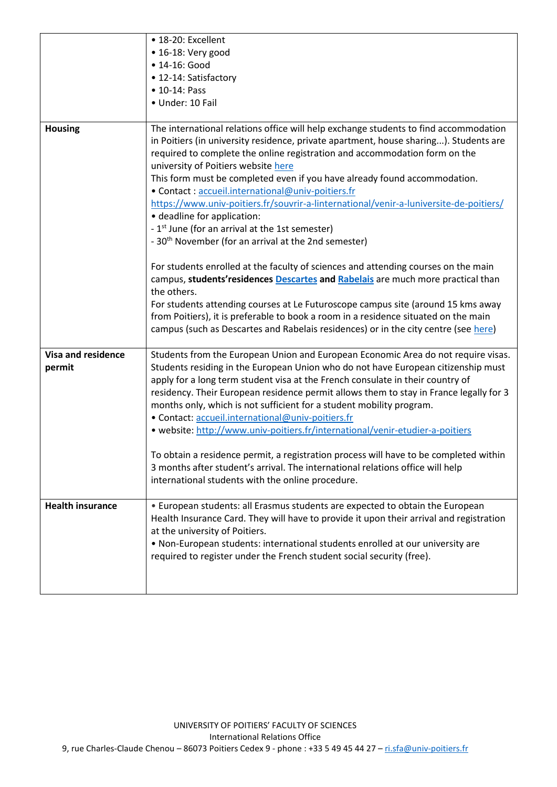|                                     | · 18-20: Excellent                                                                                                                                                                                                                                                                                                                                                                                                                                                              |
|-------------------------------------|---------------------------------------------------------------------------------------------------------------------------------------------------------------------------------------------------------------------------------------------------------------------------------------------------------------------------------------------------------------------------------------------------------------------------------------------------------------------------------|
|                                     | • 16-18: Very good                                                                                                                                                                                                                                                                                                                                                                                                                                                              |
|                                     | • 14-16: Good                                                                                                                                                                                                                                                                                                                                                                                                                                                                   |
|                                     | • 12-14: Satisfactory                                                                                                                                                                                                                                                                                                                                                                                                                                                           |
|                                     | • 10-14: Pass                                                                                                                                                                                                                                                                                                                                                                                                                                                                   |
|                                     | · Under: 10 Fail                                                                                                                                                                                                                                                                                                                                                                                                                                                                |
|                                     |                                                                                                                                                                                                                                                                                                                                                                                                                                                                                 |
| <b>Housing</b>                      | The international relations office will help exchange students to find accommodation<br>in Poitiers (in university residence, private apartment, house sharing). Students are<br>required to complete the online registration and accommodation form on the                                                                                                                                                                                                                     |
|                                     | university of Poitiers website here                                                                                                                                                                                                                                                                                                                                                                                                                                             |
|                                     | This form must be completed even if you have already found accommodation.                                                                                                                                                                                                                                                                                                                                                                                                       |
|                                     | • Contact : accueil.international@univ-poitiers.fr                                                                                                                                                                                                                                                                                                                                                                                                                              |
|                                     | https://www.univ-poitiers.fr/souvrir-a-linternational/venir-a-luniversite-de-poitiers/                                                                                                                                                                                                                                                                                                                                                                                          |
|                                     | • deadline for application:                                                                                                                                                                                                                                                                                                                                                                                                                                                     |
|                                     | - 1 <sup>st</sup> June (for an arrival at the 1st semester)                                                                                                                                                                                                                                                                                                                                                                                                                     |
|                                     | - 30 <sup>th</sup> November (for an arrival at the 2nd semester)                                                                                                                                                                                                                                                                                                                                                                                                                |
|                                     | For students enrolled at the faculty of sciences and attending courses on the main<br>campus, students' residences Descartes and Rabelais are much more practical than<br>the others.                                                                                                                                                                                                                                                                                           |
|                                     | For students attending courses at Le Futuroscope campus site (around 15 kms away                                                                                                                                                                                                                                                                                                                                                                                                |
|                                     | from Poitiers), it is preferable to book a room in a residence situated on the main<br>campus (such as Descartes and Rabelais residences) or in the city centre (see here)                                                                                                                                                                                                                                                                                                      |
| <b>Visa and residence</b><br>permit | Students from the European Union and European Economic Area do not require visas.<br>Students residing in the European Union who do not have European citizenship must<br>apply for a long term student visa at the French consulate in their country of<br>residency. Their European residence permit allows them to stay in France legally for 3<br>months only, which is not sufficient for a student mobility program.<br>· Contact: accueil.international@univ-poitiers.fr |
|                                     | . website: http://www.univ-poitiers.fr/international/venir-etudier-a-poitiers                                                                                                                                                                                                                                                                                                                                                                                                   |
|                                     |                                                                                                                                                                                                                                                                                                                                                                                                                                                                                 |
|                                     | To obtain a residence permit, a registration process will have to be completed within<br>3 months after student's arrival. The international relations office will help<br>international students with the online procedure.                                                                                                                                                                                                                                                    |
| <b>Health insurance</b>             | • European students: all Erasmus students are expected to obtain the European<br>Health Insurance Card. They will have to provide it upon their arrival and registration<br>at the university of Poitiers.                                                                                                                                                                                                                                                                      |
|                                     | . Non-European students: international students enrolled at our university are<br>required to register under the French student social security (free).                                                                                                                                                                                                                                                                                                                         |
|                                     |                                                                                                                                                                                                                                                                                                                                                                                                                                                                                 |